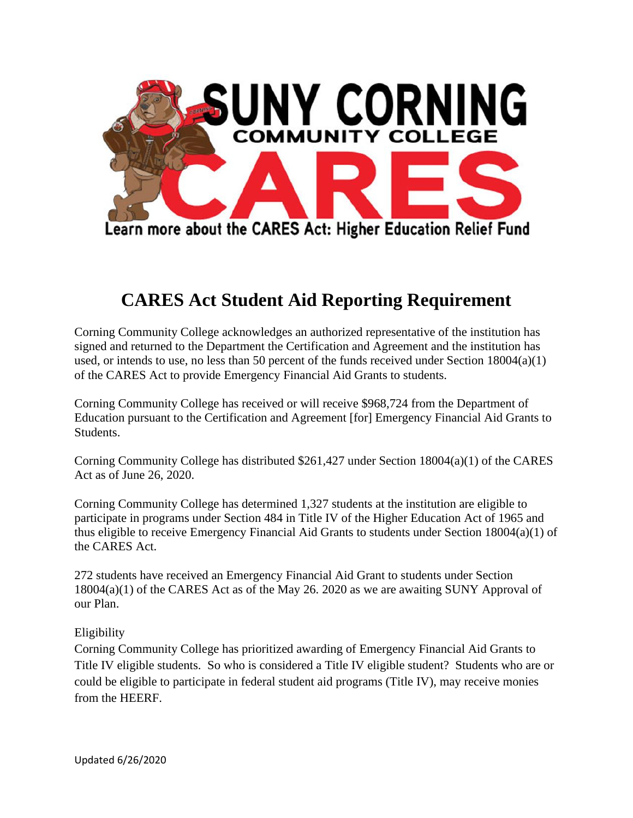

## **CARES Act Student Aid Reporting Requirement**

Corning Community College acknowledges an authorized representative of the institution has signed and returned to the Department the Certification and Agreement and the institution has used, or intends to use, no less than 50 percent of the funds received under Section  $18004(a)(1)$ of the CARES Act to provide Emergency Financial Aid Grants to students.

Corning Community College has received or will receive \$968,724 from the Department of Education pursuant to the Certification and Agreement [for] Emergency Financial Aid Grants to Students.

Corning Community College has distributed \$261,427 under Section 18004(a)(1) of the CARES Act as of June 26, 2020.

Corning Community College has determined 1,327 students at the institution are eligible to participate in programs under Section 484 in Title IV of the Higher Education Act of 1965 and thus eligible to receive Emergency Financial Aid Grants to students under Section 18004(a)(1) of the CARES Act.

272 students have received an Emergency Financial Aid Grant to students under Section 18004(a)(1) of the CARES Act as of the May 26. 2020 as we are awaiting SUNY Approval of our Plan.

## Eligibility

Corning Community College has prioritized awarding of Emergency Financial Aid Grants to Title IV eligible students. So who is considered a Title IV eligible student? Students who are or could be eligible to participate in federal student aid programs (Title IV), may receive monies from the HEERF.